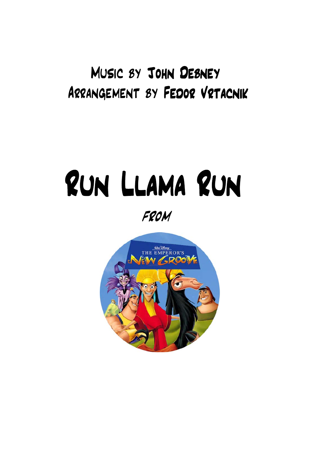## Music by John Debney Arrangement by Fedor Vrtacnik

## Run Llama Run from

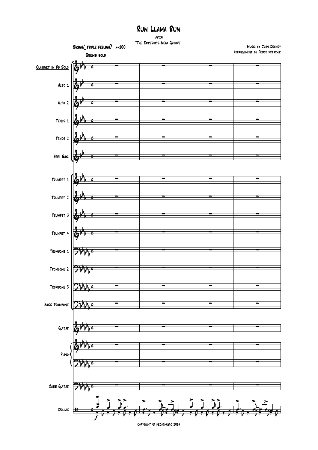## Run Llama Run from

"The Emperor's New Groove"



Copyright © Fedormusic 2014